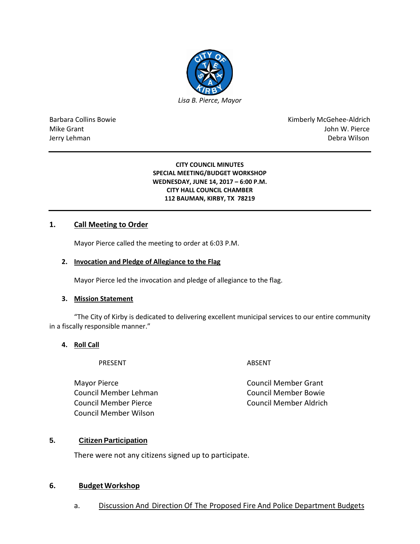

Barbara Collins Bowie **Kimberly McGehee-Aldrich** Mike Grant John W. Pierce Jerry Lehman Debra Wilson (2008) and the state of the state of the state of the state of the state of the state of the state of the state of the state of the state of the state of the state of the state of the state of the

#### **CITY COUNCIL MINUTES SPECIAL MEETING/BUDGET WORKSHOP WEDNESDAY, JUNE 14, 2017 – 6:00 P.M. CITY HALL COUNCIL CHAMBER 112 BAUMAN, KIRBY, TX 78219**

## **1. Call Meeting to Order**

Mayor Pierce called the meeting to order at 6:03 P.M.

#### **2. Invocation and Pledge of Allegiance to the Flag**

Mayor Pierce led the invocation and pledge of allegiance to the flag.

#### **3. Mission Statement**

"The City of Kirby is dedicated to delivering excellent municipal services to our entire community in a fiscally responsible manner."

### **4. Roll Call**

PRESENT ABSENT

Mayor Pierce **Council Member Grant** Council Member Lehman Council Member Bowie Council Member Pierce Council Member Aldrich Council Member Wilson

### **5. Citizen Participation**

There were not any citizens signed up to participate.

### **6. Budget Workshop**

a. Discussion And Direction Of The Proposed Fire And Police Department Budgets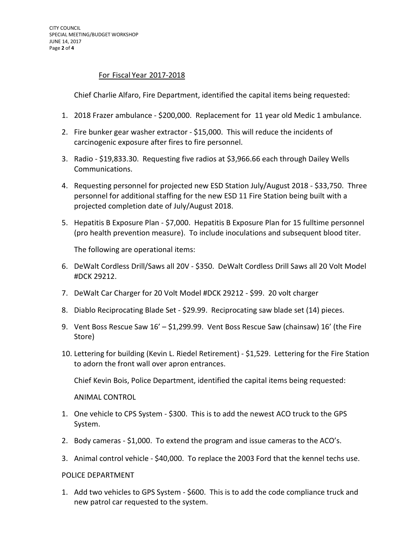## For Fiscal Year 2017-2018

Chief Charlie Alfaro, Fire Department, identified the capital items being requested:

- 1. 2018 Frazer ambulance \$200,000. Replacement for 11 year old Medic 1 ambulance.
- 2. Fire bunker gear washer extractor \$15,000. This will reduce the incidents of carcinogenic exposure after fires to fire personnel.
- 3. Radio \$19,833.30. Requesting five radios at \$3,966.66 each through Dailey Wells Communications.
- 4. Requesting personnel for projected new ESD Station July/August 2018 \$33,750. Three personnel for additional staffing for the new ESD 11 Fire Station being built with a projected completion date of July/August 2018.
- 5. Hepatitis B Exposure Plan \$7,000. Hepatitis B Exposure Plan for 15 fulltime personnel (pro health prevention measure). To include inoculations and subsequent blood titer.

The following are operational items:

- 6. DeWalt Cordless Drill/Saws all 20V \$350. DeWalt Cordless Drill Saws all 20 Volt Model #DCK 29212.
- 7. DeWalt Car Charger for 20 Volt Model #DCK 29212 \$99. 20 volt charger
- 8. Diablo Reciprocating Blade Set \$29.99. Reciprocating saw blade set (14) pieces.
- 9. Vent Boss Rescue Saw 16' \$1,299.99. Vent Boss Rescue Saw (chainsaw) 16' (the Fire Store)
- 10. Lettering for building (Kevin L. Riedel Retirement) \$1,529. Lettering for the Fire Station to adorn the front wall over apron entrances.

Chief Kevin Bois, Police Department, identified the capital items being requested:

ANIMAL CONTROL

- 1. One vehicle to CPS System \$300. This is to add the newest ACO truck to the GPS System.
- 2. Body cameras \$1,000. To extend the program and issue cameras to the ACO's.
- 3. Animal control vehicle \$40,000. To replace the 2003 Ford that the kennel techs use.

#### POLICE DEPARTMENT

1. Add two vehicles to GPS System - \$600. This is to add the code compliance truck and new patrol car requested to the system.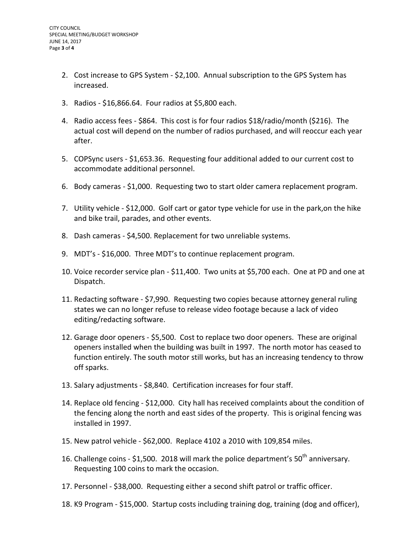- 2. Cost increase to GPS System \$2,100. Annual subscription to the GPS System has increased.
- 3. Radios \$16,866.64. Four radios at \$5,800 each.
- 4. Radio access fees \$864. This cost is for four radios \$18/radio/month (\$216). The actual cost will depend on the number of radios purchased, and will reoccur each year after.
- 5. COPSync users \$1,653.36. Requesting four additional added to our current cost to accommodate additional personnel.
- 6. Body cameras \$1,000. Requesting two to start older camera replacement program.
- 7. Utility vehicle \$12,000. Golf cart or gator type vehicle for use in the park,on the hike and bike trail, parades, and other events.
- 8. Dash cameras \$4,500. Replacement for two unreliable systems.
- 9. MDT's \$16,000. Three MDT's to continue replacement program.
- 10. Voice recorder service plan \$11,400. Two units at \$5,700 each. One at PD and one at Dispatch.
- 11. Redacting software \$7,990. Requesting two copies because attorney general ruling states we can no longer refuse to release video footage because a lack of video editing/redacting software.
- 12. Garage door openers \$5,500. Cost to replace two door openers. These are original openers installed when the building was built in 1997. The north motor has ceased to function entirely. The south motor still works, but has an increasing tendency to throw off sparks.
- 13. Salary adjustments \$8,840. Certification increases for four staff.
- 14. Replace old fencing \$12,000. City hall has received complaints about the condition of the fencing along the north and east sides of the property. This is original fencing was installed in 1997.
- 15. New patrol vehicle \$62,000. Replace 4102 a 2010 with 109,854 miles.
- 16. Challenge coins \$1,500. 2018 will mark the police department's  $50^{th}$  anniversary. Requesting 100 coins to mark the occasion.
- 17. Personnel \$38,000. Requesting either a second shift patrol or traffic officer.
- 18. K9 Program \$15,000. Startup costs including training dog, training (dog and officer),